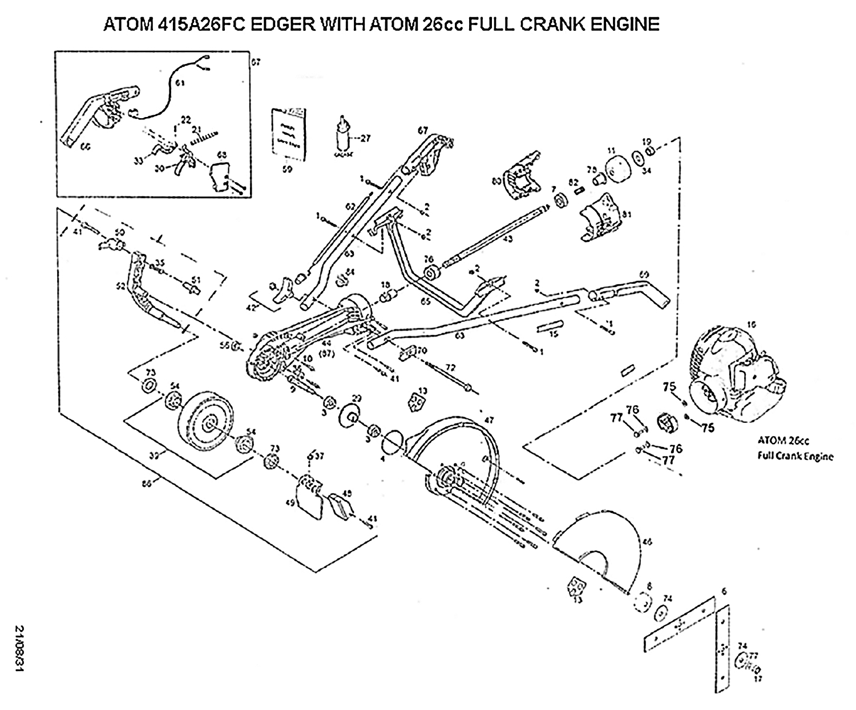## ATOM 415A26FC EDGER WITH ATOM 26cc FULL CRANK ENGINE